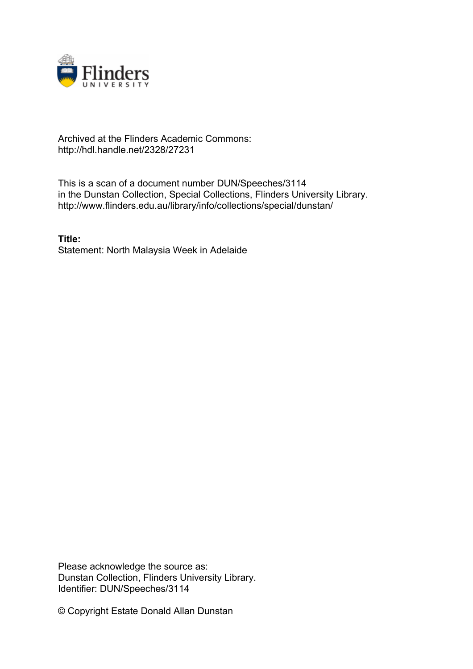

## Archived at the Flinders Academic Commons: http://hdl.handle.net/2328/27231

This is a scan of a document number DUN/Speeches/3114 in the Dunstan Collection, Special Collections, Flinders University Library. http://www.flinders.edu.au/library/info/collections/special/dunstan/

**Title:** Statement: North Malaysia Week in Adelaide

Please acknowledge the source as: Dunstan Collection, Flinders University Library. Identifier: DUN/Speeches/3114

© Copyright Estate Donald Allan Dunstan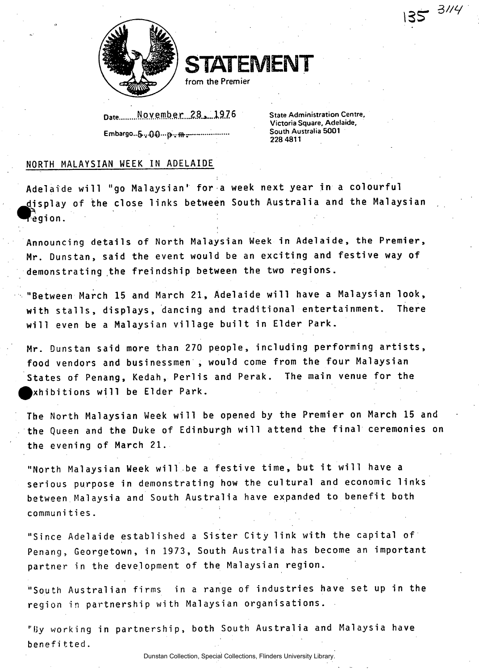

**STATEMENT** 

**from the Premier** 

Date........ November 28.1976 **Embargo-6.v^){)...p:vffl.: -**

**State Administration Centre, Victoria Square, Adelaide, South Australia 5001 228 4811** 

**I3sr** 

## **NORTH MALAYSIAN WEEK IN ADELAIDE**

Adelaide will "go Malaysian' for a week next year in a colourful **^display of the close link s between South Australi a and the Malaysian ~eg i on.** 

Announcing details of North Malaysian Week in Adelaide, the Premier, Mr. Dunstan, said the event would be an exciting and festive way of demonstrating the freindship between the two regions.

"Between March 15 and March 21, Adelaide will have a Malaysian look, **with stalls , displays , dancing and traditiona l entertainment . There wil l even be a Malaysian villag e buil t in Elder Park.** 

Mr. Dunstan said more than 270 people, including performing artists. **food vendors and businessmen , would come from the four Malaysian**  States of Penang, Kedah, Perlis and Perak. The main venue for the **Exhibition s wil l be Elder Park.** 

The North Malaysian Week will be opened by the Premier on March 15 and the Queen and the Duke of Edinburgh will attend the final ceremonies on **the evening of March 21.** 

"North Malaysian Week will be a festive time, but it will have a serious purpose in demonstrating how the cultural and economic links **between Malaysia and South Australia have expanded to benefit both communities.** 

"Since Adelaide established a Sister City link with the capital of Penang, Georgetown, in 1973, South Australia has become an important **partner in the development of the Malaysian region.** 

"South Australian firms in a range of industries have set up in the **region in partnership with Malaysian organisations .** 

**"fjy working in partnership , both South Australi a and Malaysia have benefi tted.**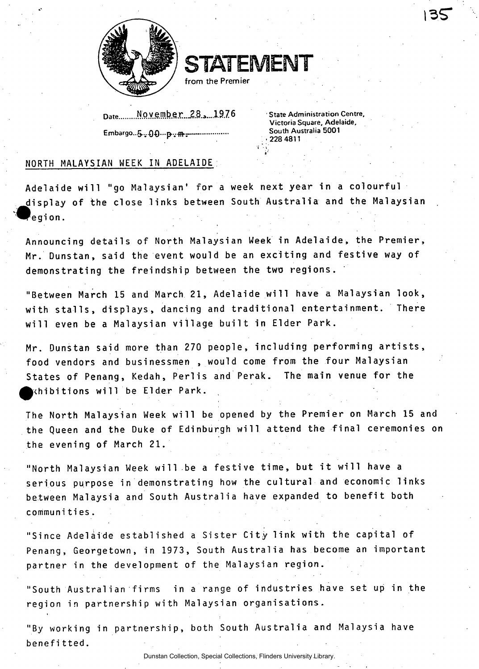

**STATEMENT** 

**from the Premier** 

Date........November 28, 1976 Embargo..5.<sub>2</sub>.00...<sub>D</sub>., m-

**<sup>1</sup> State Administration Centre, Victoria Square, Adelaide, South Australia 5001 • 228 4811** 

## **NORTH MALAYSIAN MEEK IN ADELAIDE .**

Adelaide will "go Malaysian' for a week next year in a colourful **displa y of the close link s between South Australi a and the Malaysian**   $\epsilon$ egion.

Announcing details of North Malaysian Week in Adelaide, the Premier, Mr. Dunstan, said the event would be an exciting and festive way of demonstrating the freindship between the two regions.

"Between March 15 and March 21, Adelaide will have a Malaysian look, **with stalls , displays , dancing and traditiona l entertainment . There wil l even be a Malaysian villag e buil t in Elder Park.** 

Mr. Dunstan said more than 270 people, including performing artists, food vendors and businessmen, would come from the four Malaysian States of Penang, Kedah, Perlis and Perak. The main venue for the **Exhibition s wil l be Elder Park.** 

The North Malaysian Week will be opened by the Premier on March 15 and the Queen and the Duke of Edinburgh will attend the final ceremonies on **the evening of March 21.** 

**"North Malaysian Week will be a festive time, but it will have a** serious purpose in demonstrating how the cultural and economic links between Malaysia and South Australia have expanded to benefit both **communities.** 

"Since Adelaide established a Sister City link with the capital of Penang, Georgetown, in 1973, South Australia has become an important **partner in the development of the Malaysian region.** 

"South Australian firms in a range of industries have set up in the **region in partnership with Malaysian organisations .** 

**"By working in partnership , both South Australi a and Malaysia have benefitted .**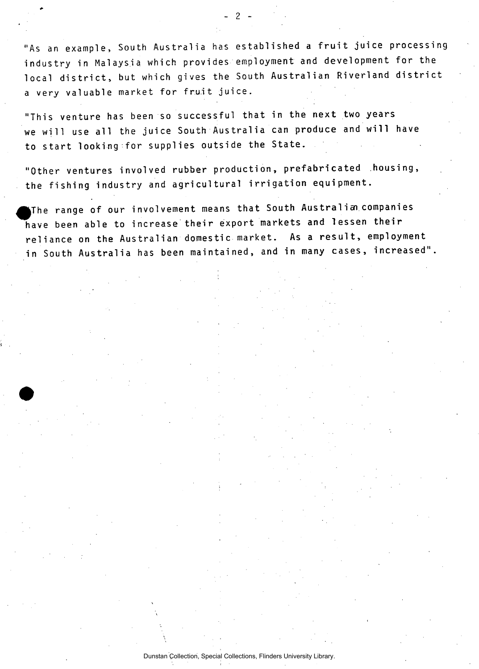"As an example, South Australia has established a fruit juice processing industry in Malaysia which provides employment and development for the local district, but which gives the South Australian Riverland district a very valuable market for fruit juice.

- 2 -

**"This venture has been so successful that in the next two years**  we will use all the juice South Australia can produce and will have **to start looking for supplies outside the State.** 

"Other ventures involved rubber production, prefabricated housing, the fishing industry and agricultural irrigation equipment.

**JThe range of our involvement means that South Australis n companies**  have been able to increase their export markets and lessen their reliance on the Australian domestic market. As a result, employment in South Australia has been maintained, and in many cases, increased".